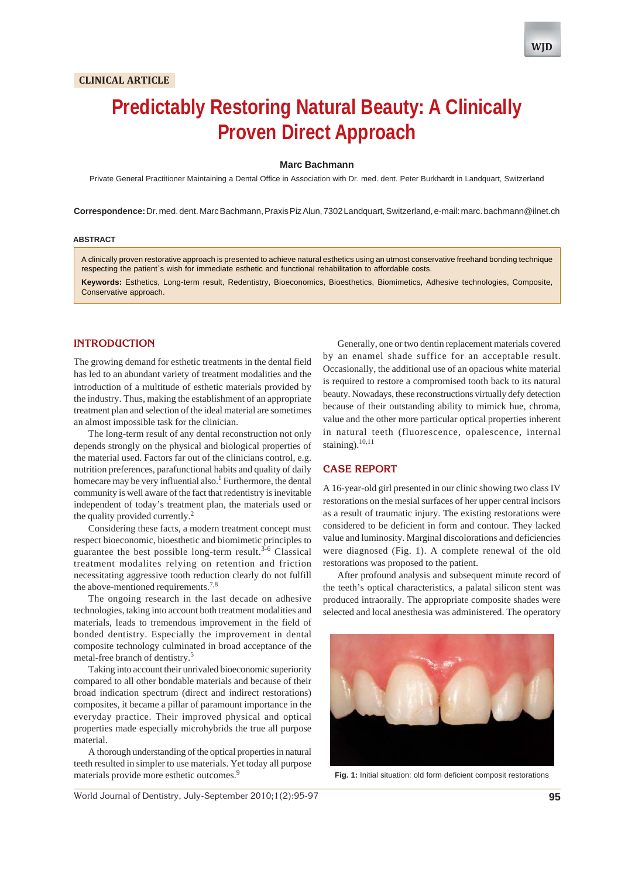# **Predictably Restoring Natural Beauty: A Clinically Proven Direct Approach**

#### **Marc Bachmann**

Private General Practitioner Maintaining a Dental Office in Association with Dr. med. dent. Peter Burkhardt in Landquart, Switzerland

**Correspondence:** Dr. med. dent. Marc Bachmann, Praxis Piz Alun, 7302 Landquart, Switzerland, e-mail: marc. bachmann@ilnet.ch

#### **ABSTRACT**

A clinically proven restorative approach is presented to achieve natural esthetics using an utmost conservative freehand bonding technique respecting the patient`s wish for immediate esthetic and functional rehabilitation to affordable costs.

**Keywords:** Esthetics, Long-term result, Redentistry, Bioeconomics, Bioesthetics, Biomimetics, Adhesive technologies, Composite, Conservative approach.

## **INTRODUCTION**

The growing demand for esthetic treatments in the dental field has led to an abundant variety of treatment modalities and the introduction of a multitude of esthetic materials provided by the industry. Thus, making the establishment of an appropriate treatment plan and selection of the ideal material are sometimes an almost impossible task for the clinician.

The long-term result of any dental reconstruction not only depends strongly on the physical and biological properties of the material used. Factors far out of the clinicians control, e.g. nutrition preferences, parafunctional habits and quality of daily homecare may be very influential also.<sup>1</sup> Furthermore, the dental community is well aware of the fact that redentistry is inevitable independent of today's treatment plan, the materials used or the quality provided currently. $\frac{2}{x}$ 

Considering these facts, a modern treatment concept must respect bioeconomic, bioesthetic and biomimetic principles to guarantee the best possible long-term result.<sup>3-6</sup> Classical treatment modalites relying on retention and friction necessitating aggressive tooth reduction clearly do not fulfill the above-mentioned requirements.<sup>7,8</sup>

The ongoing research in the last decade on adhesive technologies, taking into account both treatment modalities and materials, leads to tremendous improvement in the field of bonded dentistry. Especially the improvement in dental composite technology culminated in broad acceptance of the metal-free branch of dentistry.5

Taking into account their unrivaled bioeconomic superiority compared to all other bondable materials and because of their broad indication spectrum (direct and indirect restorations) composites, it became a pillar of paramount importance in the everyday practice. Their improved physical and optical properties made especially microhybrids the true all purpose material.

A thorough understanding of the optical properties in natural teeth resulted in simpler to use materials. Yet today all purpose materials provide more esthetic outcomes.<sup>9</sup>

Generally, one or two dentin replacement materials covered by an enamel shade suffice for an acceptable result. Occasionally, the additional use of an opacious white material is required to restore a compromised tooth back to its natural beauty. Nowadays, these reconstructions virtually defy detection because of their outstanding ability to mimick hue, chroma, value and the other more particular optical properties inherent in natural teeth (fluorescence, opalescence, internal staining). $10,11$ 

## **CASE REPORT**

A 16-year-old girl presented in our clinic showing two class IV restorations on the mesial surfaces of her upper central incisors as a result of traumatic injury. The existing restorations were considered to be deficient in form and contour. They lacked value and luminosity. Marginal discolorations and deficiencies were diagnosed (Fig. 1). A complete renewal of the old restorations was proposed to the patient.

After profound analysis and subsequent minute record of the teeth's optical characteristics, a palatal silicon stent was produced intraorally. The appropriate composite shades were selected and local anesthesia was administered. The operatory



**Fig. 1:** Initial situation: old form deficient composit restorations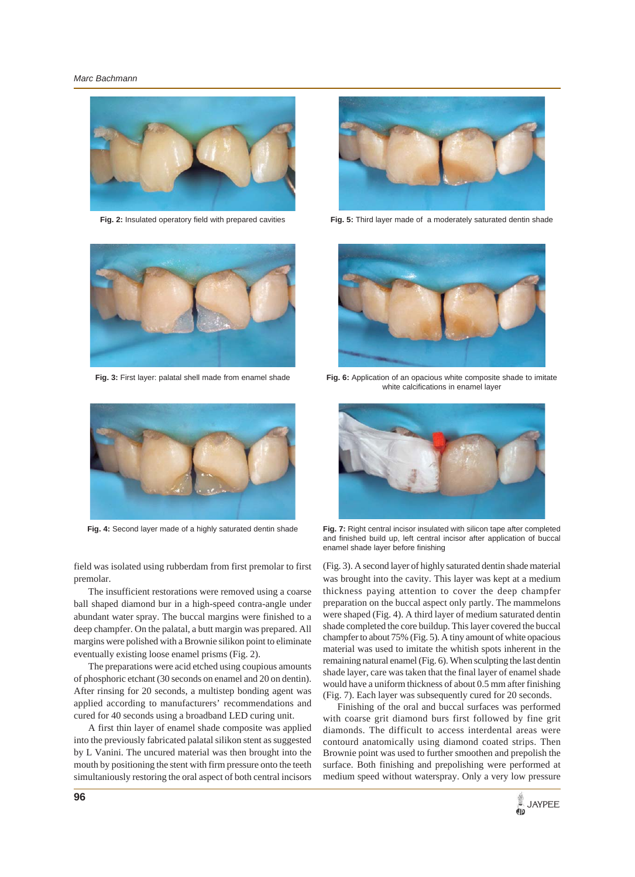

**Fig. 2:** Insulated operatory field with prepared cavities



**Fig. 3:** First layer: palatal shell made from enamel shade



**Fig. 5:** Third layer made of a moderately saturated dentin shade



Fig. 6: Application of an opacious white composite shade to imitate white calcifications in enamel layer



**Fig. 4:** Second layer made of a highly saturated dentin shade

field was isolated using rubberdam from first premolar to first premolar.

The insufficient restorations were removed using a coarse ball shaped diamond bur in a high-speed contra-angle under abundant water spray. The buccal margins were finished to a deep champfer. On the palatal, a butt margin was prepared. All margins were polished with a Brownie silikon point to eliminate eventually existing loose enamel prisms (Fig. 2).

The preparations were acid etched using coupious amounts of phosphoric etchant (30 seconds on enamel and 20 on dentin). After rinsing for 20 seconds, a multistep bonding agent was applied according to manufacturers' recommendations and cured for 40 seconds using a broadband LED curing unit.

A first thin layer of enamel shade composite was applied into the previously fabricated palatal silikon stent as suggested by L Vanini. The uncured material was then brought into the mouth by positioning the stent with firm pressure onto the teeth simultaniously restoring the oral aspect of both central incisors



**Fig. 7:** Right central incisor insulated with silicon tape after completed and finished build up, left central incisor after application of buccal enamel shade layer before finishing

(Fig. 3). A second layer of highly saturated dentin shade material was brought into the cavity. This layer was kept at a medium thickness paying attention to cover the deep champfer preparation on the buccal aspect only partly. The mammelons were shaped (Fig. 4). A third layer of medium saturated dentin shade completed the core buildup. This layer covered the buccal champfer to about 75% (Fig. 5). A tiny amount of white opacious material was used to imitate the whitish spots inherent in the remaining natural enamel (Fig. 6). When sculpting the last dentin shade layer, care was taken that the final layer of enamel shade would have a uniform thickness of about 0.5 mm after finishing (Fig. 7). Each layer was subsequently cured for 20 seconds.

Finishing of the oral and buccal surfaces was performed with coarse grit diamond burs first followed by fine grit diamonds. The difficult to access interdental areas were contourd anatomically using diamond coated strips. Then Brownie point was used to further smoothen and prepolish the surface. Both finishing and prepolishing were performed at medium speed without waterspray. Only a very low pressure